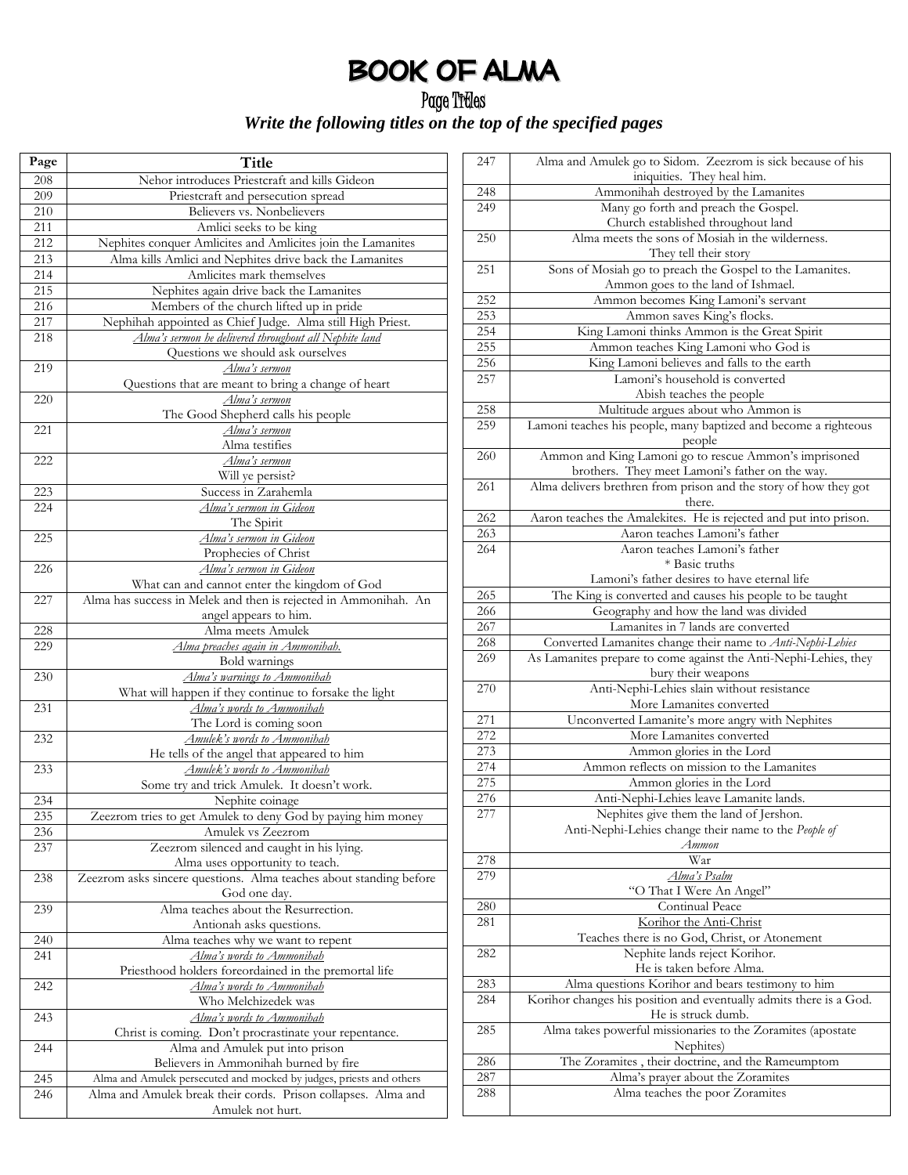## Book of Alma

## Page Titles *Write the following titles on the top of the specified pages*

| Page | Title                                                                        |
|------|------------------------------------------------------------------------------|
| 208  | Nehor introduces Priestcraft and kills Gideon                                |
| 209  | Priestcraft and persecution spread                                           |
| 210  | Believers vs. Nonbelievers                                                   |
| 211  | Amlici seeks to be king                                                      |
| 212  | Nephites conquer Amlicites and Amlicites join the Lamanites                  |
| 213  | Alma kills Amlici and Nephites drive back the Lamanites                      |
| 214  | Amlicites mark themselves                                                    |
| 215  | Nephites again drive back the Lamanites                                      |
| 216  | Members of the church lifted up in pride                                     |
| 217  | Nephihah appointed as Chief Judge. Alma still High Priest.                   |
| 218  | Alma's sermon he delivered throughout all Nephite land                       |
|      | Questions we should ask ourselves                                            |
| 219  | Alma's sermon                                                                |
|      | Questions that are meant to bring a change of heart                          |
| 220  | Alma's sermon                                                                |
|      | The Good Shepherd calls his people                                           |
| 221  | Alma's sermon                                                                |
|      | Alma testifies                                                               |
| 222  | Alma's sermon                                                                |
|      | Will ye persist?                                                             |
| 223  | Success in Zarahemla                                                         |
| 224  | <u>Alma's sermon in Gideon</u>                                               |
|      | The Spirit                                                                   |
| 225  | Alma's sermon in Gideon                                                      |
|      | Prophecies of Christ                                                         |
| 226  | <u>Alma's sermon in Gideon</u>                                               |
|      | What can and cannot enter the kingdom of God                                 |
| 227  | Alma has success in Melek and then is rejected in Ammonihah. An              |
| 228  | angel appears to him.<br>Alma meets Amulek                                   |
| 229  | Alma preaches again in Ammonihah.                                            |
|      | Bold warnings                                                                |
| 230  | Alma's warnings to Ammonihah                                                 |
|      | What will happen if they continue to forsake the light                       |
| 231  | Alma's words to Ammonihah                                                    |
|      | The Lord is coming soon                                                      |
| 232  | Amulek's words to Ammonihah                                                  |
|      | He tells of the angel that appeared to him                                   |
| 233  | Amulek's words to Ammonihah                                                  |
|      | Some try and trick Amulek. It doesn't work.                                  |
| 234  | Nephite coinage                                                              |
| 235  | Zeezrom tries to get Amulek to deny God by paying him money                  |
| 236  | Amulek vs Zeezrom                                                            |
| 237  | Zeezrom silenced and caught in his lying.<br>Alma uses opportunity to teach. |
| 238  | Zeezrom asks sincere questions. Alma teaches about standing before           |
|      | God one day.                                                                 |
| 239  | Alma teaches about the Resurrection.                                         |
|      | Antionah asks questions.                                                     |
| 240  | Alma teaches why we want to repent                                           |
| 241  | Alma's words to Ammonihah                                                    |
|      | Priesthood holders foreordained in the premortal life                        |
| 242  | Alma's words to Ammonihah                                                    |
|      | Who Melchizedek was                                                          |
| 243  | Alma's words to Ammonibab                                                    |
|      | Christ is coming. Don't procrastinate your repentance.                       |
| 244  | Alma and Amulek put into prison                                              |
|      | Believers in Ammonihah burned by fire                                        |
| 245  | Alma and Amulek persecuted and mocked by judges, priests and others          |
| 246  | Alma and Amulek break their cords. Prison collapses. Alma and                |
|      | Amulek not hurt.                                                             |

| 247 | Alma and Amulek go to Sidom. Zeezrom is sick because of his        |
|-----|--------------------------------------------------------------------|
|     | iniquities. They heal him.                                         |
| 248 | Ammonihah destroyed by the Lamanites                               |
| 249 | Many go forth and preach the Gospel.                               |
|     | Church established throughout land                                 |
| 250 | Alma meets the sons of Mosiah in the wilderness.                   |
|     | They tell their story                                              |
| 251 | Sons of Mosiah go to preach the Gospel to the Lamanites.           |
|     | Ammon goes to the land of Ishmael.                                 |
| 252 | Ammon becomes King Lamoni's servant                                |
| 253 | Ammon saves King's flocks.                                         |
| 254 | King Lamoni thinks Ammon is the Great Spirit                       |
| 255 | Ammon teaches King Lamoni who God is                               |
| 256 | King Lamoni believes and falls to the earth                        |
| 257 | Lamoni's household is converted                                    |
|     | Abish teaches the people                                           |
| 258 | Multitude argues about who Ammon is                                |
| 259 | Lamoni teaches his people, many baptized and become a righteous    |
|     | people                                                             |
| 260 | Ammon and King Lamoni go to rescue Ammon's imprisoned              |
|     | brothers. They meet Lamoni's father on the way.                    |
| 261 | Alma delivers brethren from prison and the story of how they got   |
|     | there.                                                             |
| 262 | Aaron teaches the Amalekites. He is rejected and put into prison.  |
| 263 | Aaron teaches Lamoni's father                                      |
| 264 | Aaron teaches Lamoni's father                                      |
|     | * Basic truths                                                     |
|     | Lamoni's father desires to have eternal life                       |
| 265 | The King is converted and causes his people to be taught           |
| 266 |                                                                    |
|     | Geography and how the land was divided                             |
| 267 | Lamanites in 7 lands are converted                                 |
| 268 | Converted Lamanites change their name to Anti-Nephi-Lehies         |
| 269 | As Lamanites prepare to come against the Anti-Nephi-Lehies, they   |
|     | bury their weapons                                                 |
| 270 | Anti-Nephi-Lehies slain without resistance                         |
|     | More Lamanites converted                                           |
| 271 | Unconverted Lamanite's more angry with Nephites                    |
| 272 | More Lamanites converted                                           |
| 273 | Ammon glories in the Lord                                          |
| 274 | Ammon reflects on mission to the Lamanites                         |
| 275 | Ammon glories in the Lord                                          |
| 276 | Anti-Nephi-Lehies leave Lamanite lands.                            |
| 277 | Nephites give them the land of Jershon.                            |
|     | Anti-Nephi-Lehies change their name to the People of               |
|     | Ammon                                                              |
| 278 | War                                                                |
| 279 | Alma's Psalm                                                       |
|     | "O That I Were An Angel"                                           |
| 280 | Continual Peace                                                    |
| 281 | Korihor the Anti-Christ                                            |
|     | Teaches there is no God, Christ, or Atonement                      |
| 282 | Nephite lands reject Korihor.                                      |
|     | He is taken before Alma.                                           |
| 283 | Alma questions Korihor and bears testimony to him                  |
| 284 | Korihor changes his position and eventually admits there is a God. |
|     | He is struck dumb.                                                 |
| 285 | Alma takes powerful missionaries to the Zoramites (apostate        |
|     | Nephites)                                                          |
| 286 | The Zoramites, their doctrine, and the Rameumptom                  |
| 287 | Alma's prayer about the Zoramites                                  |
| 288 | Alma teaches the poor Zoramites                                    |
|     |                                                                    |